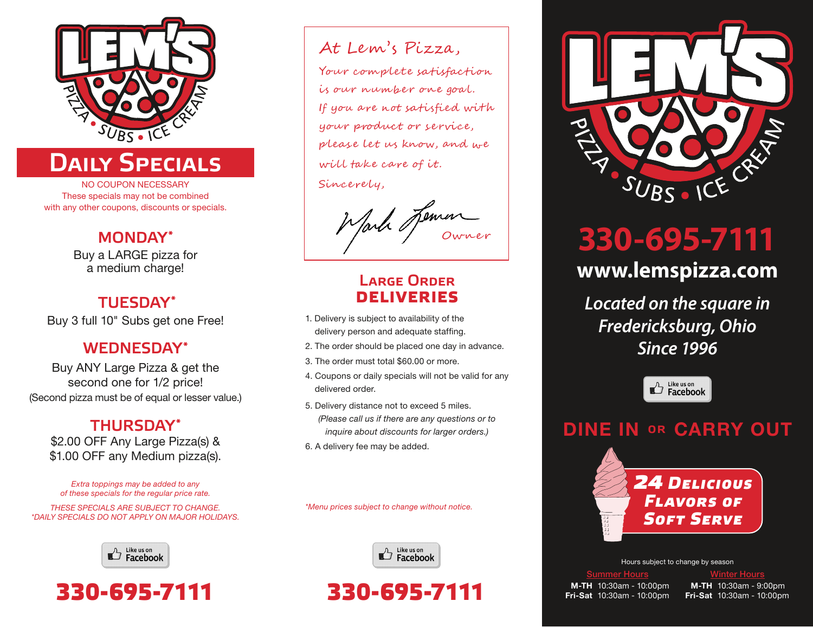

# DAILY SPECIALS

NO COUPON NECESSARY These specials may not be combined with any other coupons, discounts or specials.

### MONDAY\*

Buy a LARGE pizza for a medium charge!

### TUESDAY\*

Buy 3 full 10" Subs get one Free!

### WEDNESDAY\*

Buy ANY Large Pizza & get the second one for 1/2 price! (Second pizza must be of equal or lesser value.)

### THURSDAY\*

\$2.00 OFF Any Large Pizza(s) & \$1.00 OFF any Medium pizza(s).

*Extra toppings may be added to any of these specials for the regular price rate.*

*THESE SPECIALS ARE SUBJECT TO CHANGE. \*DAILY SPECIALS DO NOT APPLY ON MAJOR HOLIDAYS.*





### At Lem's Pizza,

Your complete satisfaction is our number one goal. If you are not satisfied with your product or service, please let us know, and we will take care of it. Sincerely,

Wark Jemen

### Large Order **DELIVERIES**

- 1. Delivery is subject to availability of the delivery person and adequate staffing.
- 2. The order should be placed one day in advance.
- 3. The order must total \$60.00 or more.
- 4. Coupons or daily specials will not be valid for any delivered order.
- 5. Delivery distance not to exceed 5 miles. *(Please call us if there are any questions or to inquire about discounts for larger orders.)*
- 6. A delivery fee may be added.

*\*Menu prices subject to change without notice.*



# **330-695-7111**



# **330-695-7111 www.lemspizza.com**

*Located on the square in Fredericksburg, Ohio Since 1996*



### DINE IN or CARRY OUT



Hours subject to change by season

M-TH 10:30am - 10:00pm Fri-Sat 10:30am - 10:00pm

<u>Summer Hours</u> National Montrer Hours National Montre

M-TH 10:30am - 9:00pm Fri-Sat 10:30am - 10:00pm